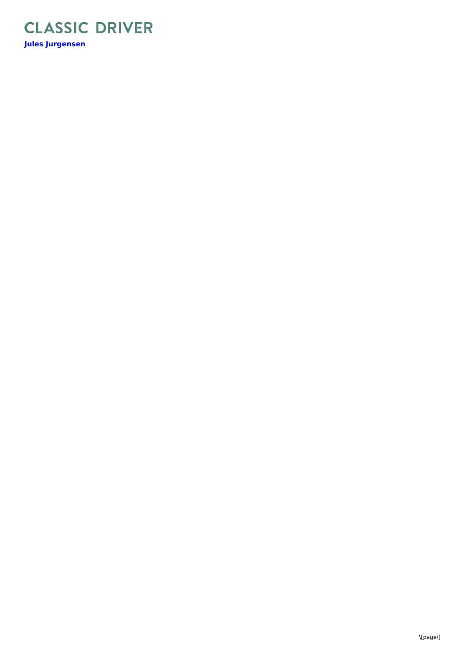